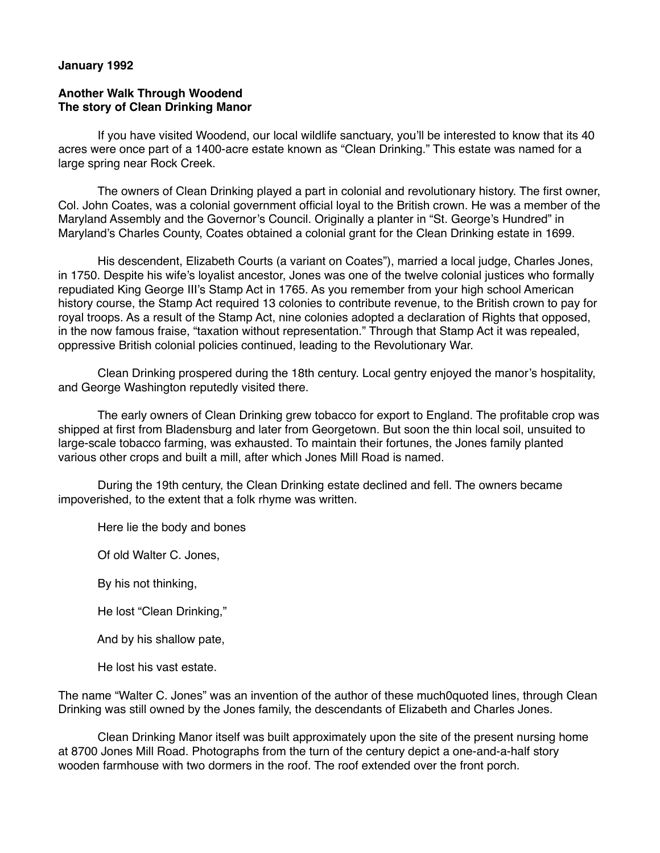## **January 1992**

## **Another Walk Through Woodend The story of Clean Drinking Manor**

 If you have visited Woodend, our local wildlife sanctuary, you'll be interested to know that its 40 acres were once part of a 1400-acre estate known as "Clean Drinking." This estate was named for a large spring near Rock Creek.

 The owners of Clean Drinking played a part in colonial and revolutionary history. The first owner, Col. John Coates, was a colonial government official loyal to the British crown. He was a member of the Maryland Assembly and the Governor's Council. Originally a planter in "St. George's Hundred" in Maryland's Charles County, Coates obtained a colonial grant for the Clean Drinking estate in 1699.

 His descendent, Elizabeth Courts (a variant on Coates"), married a local judge, Charles Jones, in 1750. Despite his wife's loyalist ancestor, Jones was one of the twelve colonial justices who formally repudiated King George III's Stamp Act in 1765. As you remember from your high school American history course, the Stamp Act required 13 colonies to contribute revenue, to the British crown to pay for royal troops. As a result of the Stamp Act, nine colonies adopted a declaration of Rights that opposed, in the now famous fraise, "taxation without representation." Through that Stamp Act it was repealed, oppressive British colonial policies continued, leading to the Revolutionary War.

 Clean Drinking prospered during the 18th century. Local gentry enjoyed the manor's hospitality, and George Washington reputedly visited there.

 The early owners of Clean Drinking grew tobacco for export to England. The profitable crop was shipped at first from Bladensburg and later from Georgetown. But soon the thin local soil, unsuited to large-scale tobacco farming, was exhausted. To maintain their fortunes, the Jones family planted various other crops and built a mill, after which Jones Mill Road is named.

 During the 19th century, the Clean Drinking estate declined and fell. The owners became impoverished, to the extent that a folk rhyme was written.

Here lie the body and bones

Of old Walter C. Jones,

By his not thinking,

He lost "Clean Drinking,"

And by his shallow pate,

He lost his vast estate.

The name "Walter C. Jones" was an invention of the author of these much0quoted lines, through Clean Drinking was still owned by the Jones family, the descendants of Elizabeth and Charles Jones.

 Clean Drinking Manor itself was built approximately upon the site of the present nursing home at 8700 Jones Mill Road. Photographs from the turn of the century depict a one-and-a-half story wooden farmhouse with two dormers in the roof. The roof extended over the front porch.